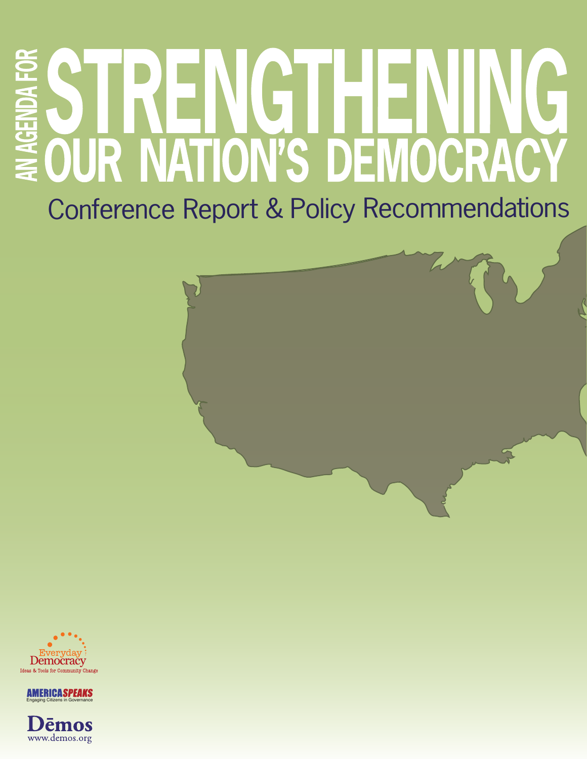# **AN AGENDA FOR** G н EI W OUR NATION'S DEMOCRACY

Conference Report & Policy Recommendations





emos www.demos.org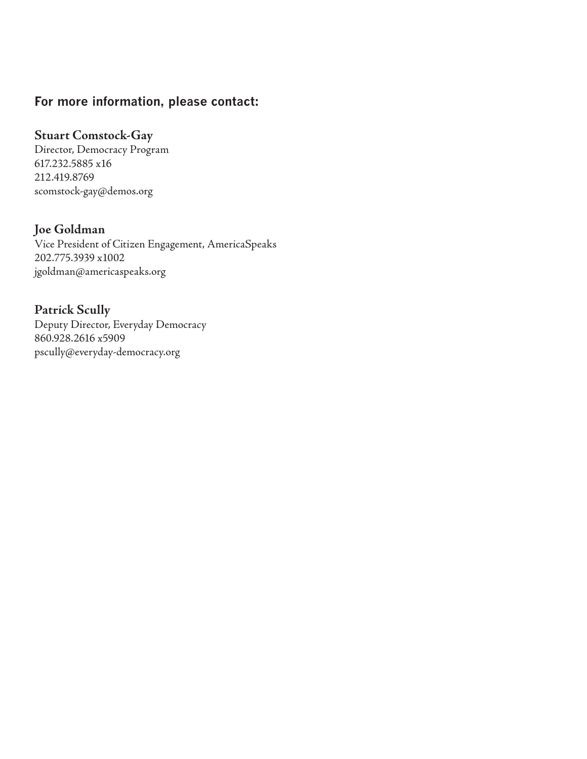### **For more information, please contact:**

#### **Stuart Comstock-Gay**

Director, Democracy Program 617.232.5885 x16 212.419.8769 scomstock-gay@demos.org

#### **Joe Goldman**

Vice President of Citizen Engagement, AmericaSpeaks 202.775.3939 x1002 jgoldman@americaspeaks.org

#### **Patrick Scully**

Deputy Director, Everyday Democracy 860.928.2616 x5909 pscully@everyday-democracy.org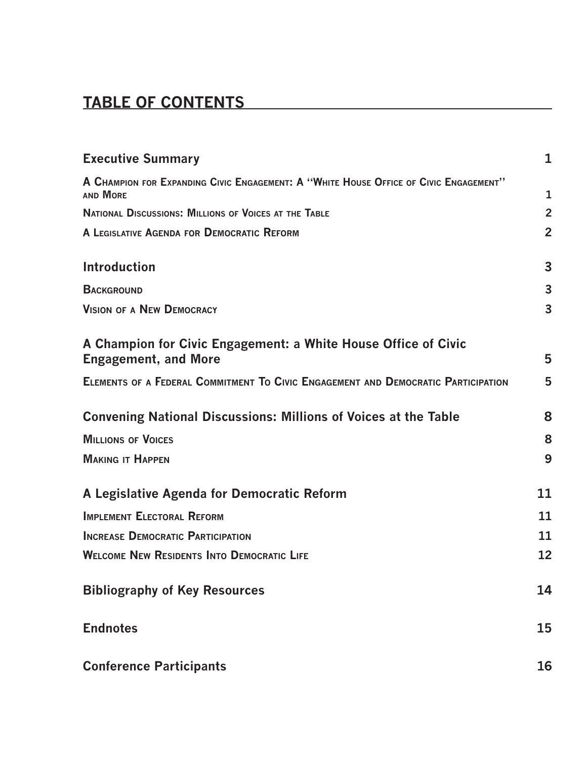# **Table of Contents**

| <b>Executive Summary</b>                                                                                 | 1              |
|----------------------------------------------------------------------------------------------------------|----------------|
| A CHAMPION FOR EXPANDING CIVIC ENGAGEMENT: A "WHITE HOUSE OFFICE OF CIVIC ENGAGEMENT"<br><b>AND MORE</b> | 1              |
| <b>NATIONAL DISCUSSIONS: MILLIONS OF VOICES AT THE TABLE</b>                                             | $\overline{2}$ |
| A LEGISLATIVE AGENDA FOR DEMOCRATIC REFORM                                                               | $\overline{2}$ |
| <b>Introduction</b>                                                                                      | 3              |
| <b>BACKGROUND</b>                                                                                        | 3              |
| <b>VISION OF A NEW DEMOCRACY</b>                                                                         | 3              |
| A Champion for Civic Engagement: a White House Office of Civic<br><b>Engagement, and More</b>            | 5              |
| ELEMENTS OF A FEDERAL COMMITMENT TO CIVIC ENGAGEMENT AND DEMOCRATIC PARTICIPATION                        | 5              |
| <b>Convening National Discussions: Millions of Voices at the Table</b>                                   | 8              |
| <b>MILLIONS OF VOICES</b>                                                                                | 8              |
| <b>MAKING IT HAPPEN</b>                                                                                  | 9              |
| A Legislative Agenda for Democratic Reform                                                               | 11             |
| <b>IMPLEMENT ELECTORAL REFORM</b>                                                                        | 11             |
| <b>INCREASE DEMOCRATIC PARTICIPATION</b>                                                                 | 11             |
| <b>WELCOME NEW RESIDENTS INTO DEMOCRATIC LIFE</b>                                                        | 12             |
| <b>Bibliography of Key Resources</b>                                                                     | 14             |
| <b>Endnotes</b>                                                                                          | 15             |
| <b>Conference Participants</b>                                                                           | 16             |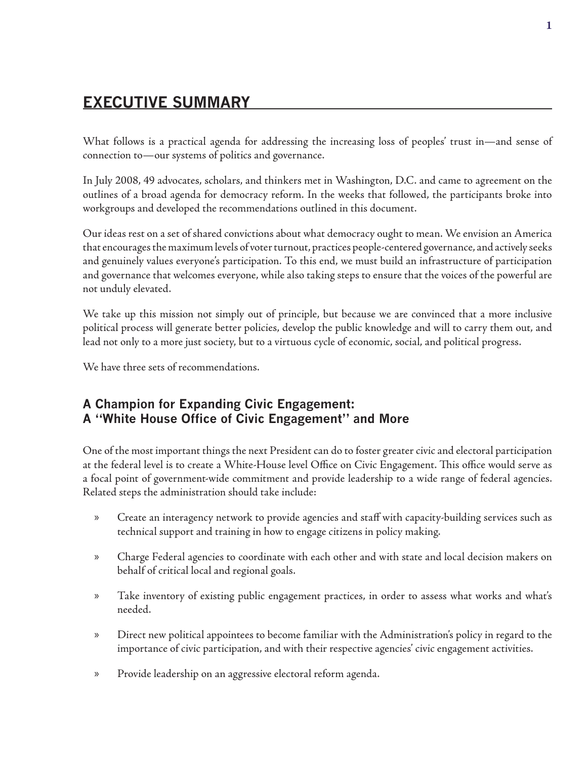# **EXECUTIVE SUMMARY**

What follows is a practical agenda for addressing the increasing loss of peoples' trust in—and sense of connection to—our systems of politics and governance.

In July 2008, 49 advocates, scholars, and thinkers met in Washington, D.C. and came to agreement on the outlines of a broad agenda for democracy reform. In the weeks that followed, the participants broke into workgroups and developed the recommendations outlined in this document.

Our ideas rest on a set of shared convictions about what democracy ought to mean. We envision an America that encourages the maximum levels of voter turnout, practices people-centered governance, and actively seeks and genuinely values everyone's participation. To this end, we must build an infrastructure of participation and governance that welcomes everyone, while also taking steps to ensure that the voices of the powerful are not unduly elevated.

We take up this mission not simply out of principle, but because we are convinced that a more inclusive political process will generate better policies, develop the public knowledge and will to carry them out, and lead not only to a more just society, but to a virtuous cycle of economic, social, and political progress.

We have three sets of recommendations.

### **A Champion for Expanding Civic Engagement: A "White House Office of Civic Engagement" and More**

One of the most important things the next President can do to foster greater civic and electoral participation at the federal level is to create a White-House level Office on Civic Engagement. This office would serve as a focal point of government-wide commitment and provide leadership to a wide range of federal agencies. Related steps the administration should take include:

- Create an interagency network to provide agencies and staff with capacity-building services such as technical support and training in how to engage citizens in policy making. »
- Charge Federal agencies to coordinate with each other and with state and local decision makers on behalf of critical local and regional goals. »
- Take inventory of existing public engagement practices, in order to assess what works and what's needed. »
- Direct new political appointees to become familiar with the Administration's policy in regard to the importance of civic participation, and with their respective agencies' civic engagement activities. »
- Provide leadership on an aggressive electoral reform agenda. »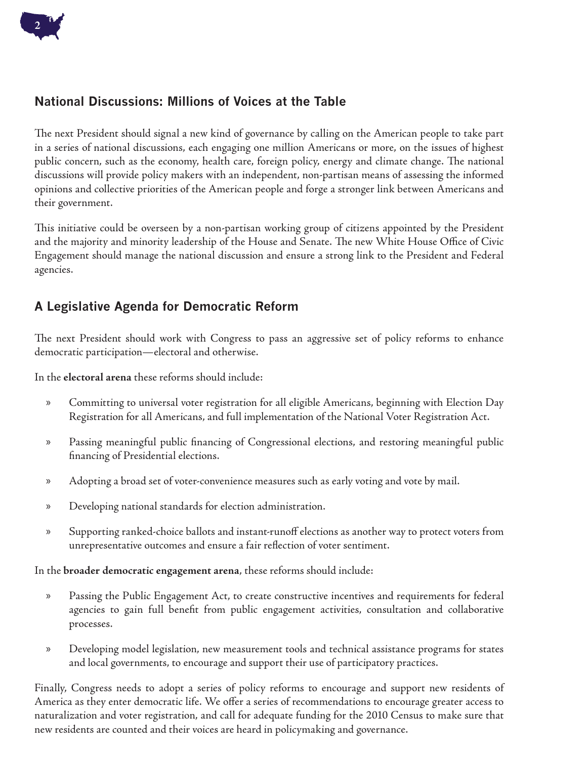### **National Discussions: Millions of Voices at the Table**

The next President should signal a new kind of governance by calling on the American people to take part in a series of national discussions, each engaging one million Americans or more, on the issues of highest public concern, such as the economy, health care, foreign policy, energy and climate change. The national discussions will provide policy makers with an independent, non-partisan means of assessing the informed opinions and collective priorities of the American people and forge a stronger link between Americans and their government.

This initiative could be overseen by a non-partisan working group of citizens appointed by the President and the majority and minority leadership of the House and Senate. The new White House Office of Civic Engagement should manage the national discussion and ensure a strong link to the President and Federal agencies.

### **A Legislative Agenda for Democratic Reform**

The next President should work with Congress to pass an aggressive set of policy reforms to enhance democratic participation—electoral and otherwise.

In the **electoral arena** these reforms should include:

- Committing to universal voter registration for all eligible Americans, beginning with Election Day Registration for all Americans, and full implementation of the National Voter Registration Act. »
- Passing meaningful public financing of Congressional elections, and restoring meaningful public financing of Presidential elections. »
- Adopting a broad set of voter-convenience measures such as early voting and vote by mail. »
- Developing national standards for election administration. »
- Supporting ranked-choice ballots and instant-runoff elections as another way to protect voters from unrepresentative outcomes and ensure a fair reflection of voter sentiment. »

In the **broader democratic engagement arena**, these reforms should include:

- Passing the Public Engagement Act, to create constructive incentives and requirements for federal agencies to gain full benefit from public engagement activities, consultation and collaborative processes. »
- Developing model legislation, new measurement tools and technical assistance programs for states and local governments, to encourage and support their use of participatory practices. »

Finally, Congress needs to adopt a series of policy reforms to encourage and support new residents of America as they enter democratic life. We offer a series of recommendations to encourage greater access to naturalization and voter registration, and call for adequate funding for the 2010 Census to make sure that new residents are counted and their voices are heard in policymaking and governance.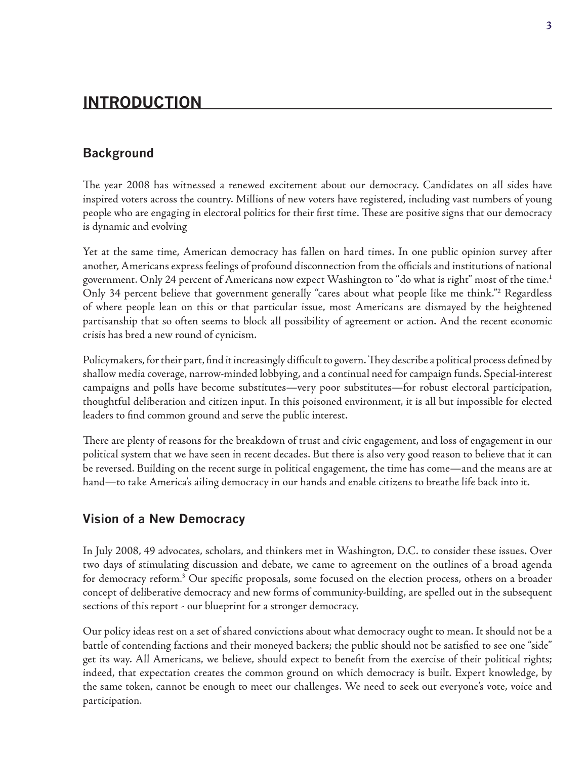# **Introduction**

#### **Background**

The year 2008 has witnessed a renewed excitement about our democracy. Candidates on all sides have inspired voters across the country. Millions of new voters have registered, including vast numbers of young people who are engaging in electoral politics for their first time. These are positive signs that our democracy is dynamic and evolving

Yet at the same time, American democracy has fallen on hard times. In one public opinion survey after another, Americans express feelings of profound disconnection from the officials and institutions of national government. Only 24 percent of Americans now expect Washington to "do what is right" most of the time.1 Only 34 percent believe that government generally "cares about what people like me think."<sup>2</sup> Regardless of where people lean on this or that particular issue, most Americans are dismayed by the heightened partisanship that so often seems to block all possibility of agreement or action. And the recent economic crisis has bred a new round of cynicism.

Policymakers, for their part, find it increasingly difficult to govern. They describe a political process defined by shallow media coverage, narrow-minded lobbying, and a continual need for campaign funds. Special-interest campaigns and polls have become substitutes—very poor substitutes—for robust electoral participation, thoughtful deliberation and citizen input. In this poisoned environment, it is all but impossible for elected leaders to find common ground and serve the public interest.

There are plenty of reasons for the breakdown of trust and civic engagement, and loss of engagement in our political system that we have seen in recent decades. But there is also very good reason to believe that it can be reversed. Building on the recent surge in political engagement, the time has come—and the means are at hand—to take America's ailing democracy in our hands and enable citizens to breathe life back into it.

#### **Vision of a New Democracy**

In July 2008, 49 advocates, scholars, and thinkers met in Washington, D.C. to consider these issues. Over two days of stimulating discussion and debate, we came to agreement on the outlines of a broad agenda for democracy reform.<sup>3</sup> Our specific proposals, some focused on the election process, others on a broader concept of deliberative democracy and new forms of community-building, are spelled out in the subsequent sections of this report - our blueprint for a stronger democracy.

Our policy ideas rest on a set of shared convictions about what democracy ought to mean. It should not be a battle of contending factions and their moneyed backers; the public should not be satisfied to see one "side" get its way. All Americans, we believe, should expect to benefit from the exercise of their political rights; indeed, that expectation creates the common ground on which democracy is built. Expert knowledge, by the same token, cannot be enough to meet our challenges. We need to seek out everyone's vote, voice and participation.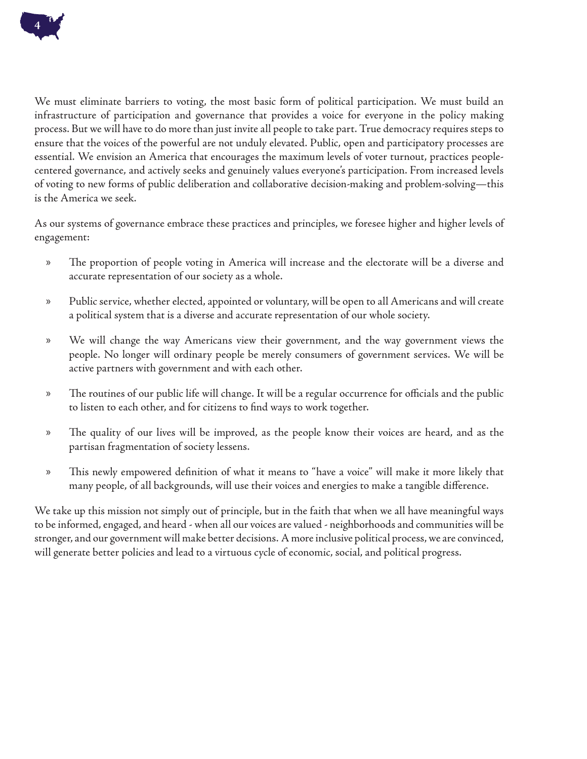

We must eliminate barriers to voting, the most basic form of political participation. We must build an infrastructure of participation and governance that provides a voice for everyone in the policy making process. But we will have to do more than just invite all people to take part. True democracy requires steps to ensure that the voices of the powerful are not unduly elevated. Public, open and participatory processes are essential. We envision an America that encourages the maximum levels of voter turnout, practices peoplecentered governance, and actively seeks and genuinely values everyone's participation. From increased levels of voting to new forms of public deliberation and collaborative decision-making and problem-solving—this is the America we seek.

As our systems of governance embrace these practices and principles, we foresee higher and higher levels of engagement:

- The proportion of people voting in America will increase and the electorate will be a diverse and accurate representation of our society as a whole. »
- Public service, whether elected, appointed or voluntary, will be open to all Americans and will create a political system that is a diverse and accurate representation of our whole society. »
- We will change the way Americans view their government, and the way government views the people. No longer will ordinary people be merely consumers of government services. We will be active partners with government and with each other. »
- The routines of our public life will change. It will be a regular occurrence for officials and the public to listen to each other, and for citizens to find ways to work together. »
- The quality of our lives will be improved, as the people know their voices are heard, and as the partisan fragmentation of society lessens. »
- This newly empowered definition of what it means to "have a voice" will make it more likely that many people, of all backgrounds, will use their voices and energies to make a tangible difference. »

We take up this mission not simply out of principle, but in the faith that when we all have meaningful ways to be informed, engaged, and heard - when all our voices are valued - neighborhoods and communities will be stronger, and our government will make better decisions. A more inclusive political process, we are convinced, will generate better policies and lead to a virtuous cycle of economic, social, and political progress.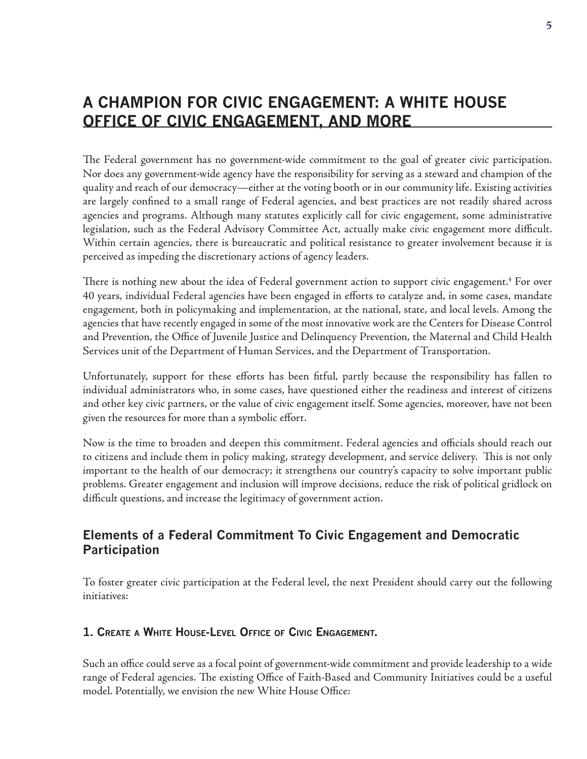# **A Champion for Civic Engagement: a White House Office of Civic Engagement, and More**

The Federal government has no government-wide commitment to the goal of greater civic participation. Nor does any government-wide agency have the responsibility for serving as a steward and champion of the quality and reach of our democracy—either at the voting booth or in our community life. Existing activities are largely confined to a small range of Federal agencies, and best practices are not readily shared across agencies and programs. Although many statutes explicitly call for civic engagement, some administrative legislation, such as the Federal Advisory Committee Act, actually make civic engagement more difficult. Within certain agencies, there is bureaucratic and political resistance to greater involvement because it is perceived as impeding the discretionary actions of agency leaders.

There is nothing new about the idea of Federal government action to support civic engagement.<sup>4</sup> For over 40 years, individual Federal agencies have been engaged in efforts to catalyze and, in some cases, mandate engagement, both in policymaking and implementation, at the national, state, and local levels. Among the agencies that have recently engaged in some of the most innovative work are the Centers for Disease Control and Prevention, the Office of Juvenile Justice and Delinquency Prevention, the Maternal and Child Health Services unit of the Department of Human Services, and the Department of Transportation.

Unfortunately, support for these efforts has been fitful, partly because the responsibility has fallen to individual administrators who, in some cases, have questioned either the readiness and interest of citizens and other key civic partners, or the value of civic engagement itself. Some agencies, moreover, have not been given the resources for more than a symbolic effort.

Now is the time to broaden and deepen this commitment. Federal agencies and officials should reach out to citizens and include them in policy making, strategy development, and service delivery. This is not only important to the health of our democracy; it strengthens our country's capacity to solve important public problems. Greater engagement and inclusion will improve decisions, reduce the risk of political gridlock on difficult questions, and increase the legitimacy of government action.

### **Elements of a Federal Commitment To Civic Engagement and Democratic Participation**

To foster greater civic participation at the Federal level, the next President should carry out the following initiatives:

#### **1. Create a White House-Level Office of Civic Engagement.**

Such an office could serve as a focal point of government-wide commitment and provide leadership to a wide range of Federal agencies. The existing Office of Faith-Based and Community Initiatives could be a useful model. Potentially, we envision the new White House Office: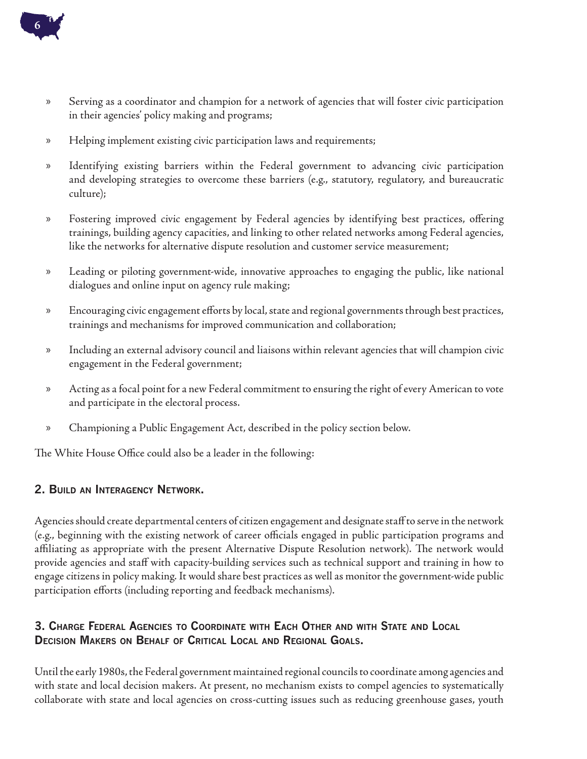

- Serving as a coordinator and champion for a network of agencies that will foster civic participation in their agencies' policy making and programs; »
- Helping implement existing civic participation laws and requirements; »
- Identifying existing barriers within the Federal government to advancing civic participation and developing strategies to overcome these barriers (e.g., statutory, regulatory, and bureaucratic culture); »
- Fostering improved civic engagement by Federal agencies by identifying best practices, offering trainings, building agency capacities, and linking to other related networks among Federal agencies, like the networks for alternative dispute resolution and customer service measurement; »
- Leading or piloting government-wide, innovative approaches to engaging the public, like national dialogues and online input on agency rule making; »
- Encouraging civic engagement efforts by local, state and regional governments through best practices, trainings and mechanisms for improved communication and collaboration; »
- Including an external advisory council and liaisons within relevant agencies that will champion civic engagement in the Federal government; »
- Acting as a focal point for a new Federal commitment to ensuring the right of every American to vote and participate in the electoral process. »
- Championing a Public Engagement Act, described in the policy section below. »

The White House Office could also be a leader in the following:

#### **2. Build an Interagency Network.**

Agencies should create departmental centers of citizen engagement and designate staff to serve in the network (e.g., beginning with the existing network of career officials engaged in public participation programs and affiliating as appropriate with the present Alternative Dispute Resolution network). The network would provide agencies and staff with capacity-building services such as technical support and training in how to engage citizens in policy making. It would share best practices as well as monitor the government-wide public participation efforts (including reporting and feedback mechanisms).

#### **3. Charge Federal Agencies to Coordinate with Each Other and with State and Local Decision Makers on Behalf of Critical Local and Regional Goals.**

Until the early 1980s, the Federal government maintained regional councils to coordinate among agencies and with state and local decision makers. At present, no mechanism exists to compel agencies to systematically collaborate with state and local agencies on cross-cutting issues such as reducing greenhouse gases, youth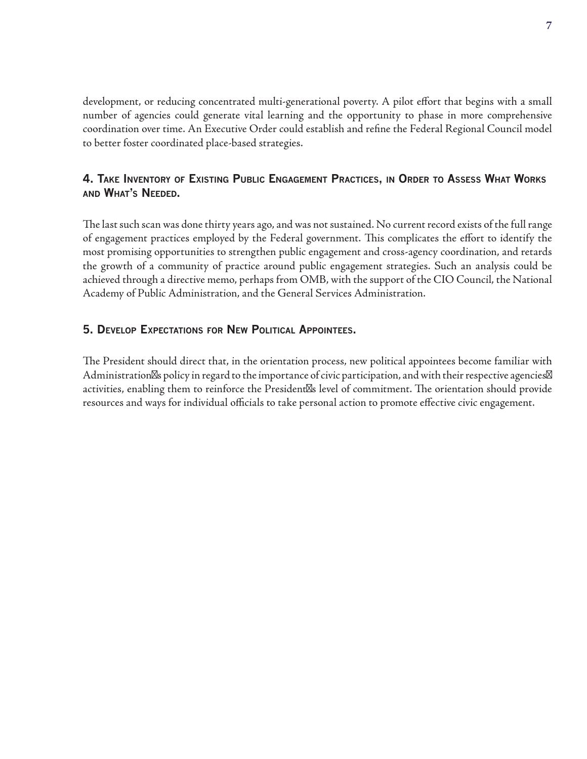development, or reducing concentrated multi-generational poverty. A pilot effort that begins with a small number of agencies could generate vital learning and the opportunity to phase in more comprehensive coordination over time. An Executive Order could establish and refine the Federal Regional Council model to better foster coordinated place-based strategies.

#### **4. Take Inventory of Existing Public Engagement Practices, in Order to Assess What Works and What's Needed.**

The last such scan was done thirty years ago, and was not sustained. No current record exists of the full range of engagement practices employed by the Federal government. This complicates the effort to identify the most promising opportunities to strengthen public engagement and cross-agency coordination, and retards the growth of a community of practice around public engagement strategies. Such an analysis could be achieved through a directive memo, perhaps from OMB, with the support of the CIO Council, the National Academy of Public Administration, and the General Services Administration.

#### **5. Develop Expectations for New Political Appointees.**

The President should direct that, in the orientation process, new political appointees become familiar with Administration s policy in regard to the importance of civic participation, and with their respective agencies activities, enabling them to reinforce the President s level of commitment. The orientation should provide resources and ways for individual officials to take personal action to promote effective civic engagement.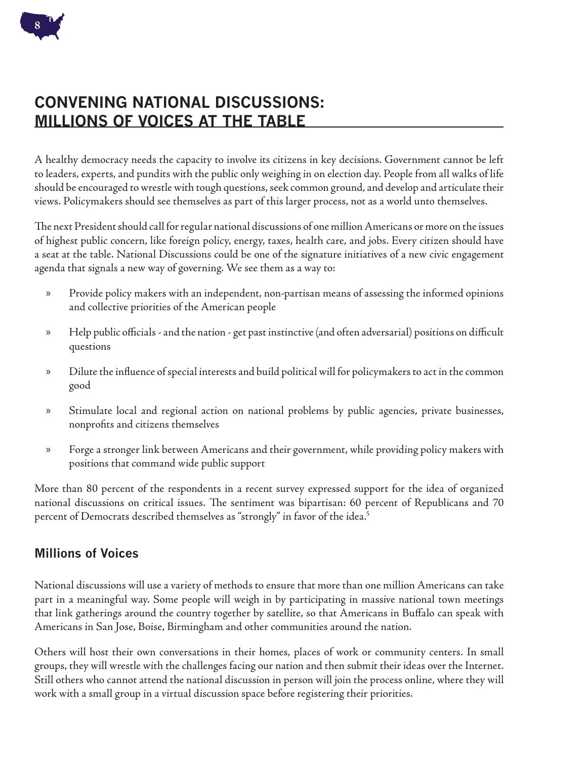

# **Convening National Discussions: Millions of Voices at the Table**

A healthy democracy needs the capacity to involve its citizens in key decisions. Government cannot be left to leaders, experts, and pundits with the public only weighing in on election day. People from all walks of life should be encouraged to wrestle with tough questions, seek common ground, and develop and articulate their views. Policymakers should see themselves as part of this larger process, not as a world unto themselves.

The next President should call for regular national discussions of one million Americans or more on the issues of highest public concern, like foreign policy, energy, taxes, health care, and jobs. Every citizen should have a seat at the table. National Discussions could be one of the signature initiatives of a new civic engagement agenda that signals a new way of governing. We see them as a way to:

- Provide policy makers with an independent, non-partisan means of assessing the informed opinions and collective priorities of the American people »
- Help public officials and the nation get past instinctive (and often adversarial) positions on difficult questions »
- Dilute the influence of special interests and build political will for policymakers to act in the common good »
- Stimulate local and regional action on national problems by public agencies, private businesses, nonprofits and citizens themselves »
- Forge a stronger link between Americans and their government, while providing policy makers with positions that command wide public support »

More than 80 percent of the respondents in a recent survey expressed support for the idea of organized national discussions on critical issues. The sentiment was bipartisan: 60 percent of Republicans and 70 percent of Democrats described themselves as "strongly" in favor of the idea.<sup>5</sup>

### **Millions of Voices**

National discussions will use a variety of methods to ensure that more than one million Americans can take part in a meaningful way. Some people will weigh in by participating in massive national town meetings that link gatherings around the country together by satellite, so that Americans in Buffalo can speak with Americans in San Jose, Boise, Birmingham and other communities around the nation.

Others will host their own conversations in their homes, places of work or community centers. In small groups, they will wrestle with the challenges facing our nation and then submit their ideas over the Internet. Still others who cannot attend the national discussion in person will join the process online, where they will work with a small group in a virtual discussion space before registering their priorities.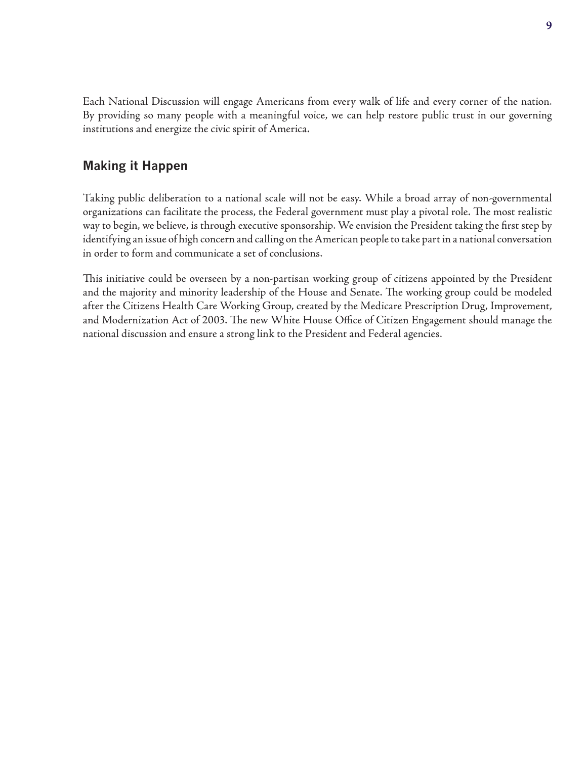Each National Discussion will engage Americans from every walk of life and every corner of the nation. By providing so many people with a meaningful voice, we can help restore public trust in our governing institutions and energize the civic spirit of America.

#### **Making it Happen**

Taking public deliberation to a national scale will not be easy. While a broad array of non-governmental organizations can facilitate the process, the Federal government must play a pivotal role. The most realistic way to begin, we believe, is through executive sponsorship. We envision the President taking the first step by identifying an issue of high concern and calling on the American people to take part in a national conversation in order to form and communicate a set of conclusions.

This initiative could be overseen by a non-partisan working group of citizens appointed by the President and the majority and minority leadership of the House and Senate. The working group could be modeled after the Citizens Health Care Working Group, created by the Medicare Prescription Drug, Improvement, and Modernization Act of 2003. The new White House Office of Citizen Engagement should manage the national discussion and ensure a strong link to the President and Federal agencies.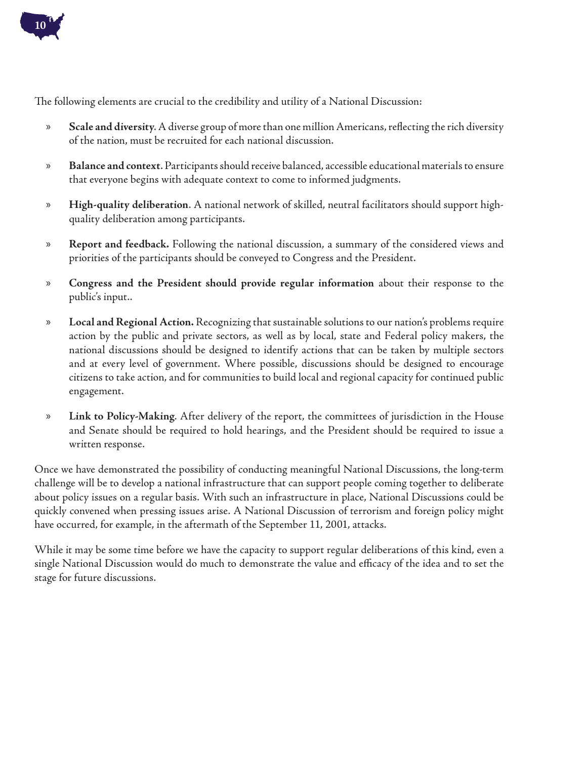

The following elements are crucial to the credibility and utility of a National Discussion:

- **Scale and diversity**. A diverse group of more than one million Americans, reflecting the rich diversity of the nation, must be recruited for each national discussion. »
- **Balance and context**. Participants should receive balanced, accessible educational materials to ensure that everyone begins with adequate context to come to informed judgments. »
- **High-quality deliberation**. A national network of skilled, neutral facilitators should support highquality deliberation among participants. »
- **Report and feedback.** Following the national discussion, a summary of the considered views and priorities of the participants should be conveyed to Congress and the President. »
- **Congress and the President should provide regular information** about their response to the public's input.. »
- **Local and Regional Action.** Recognizing that sustainable solutions to our nation's problems require action by the public and private sectors, as well as by local, state and Federal policy makers, the national discussions should be designed to identify actions that can be taken by multiple sectors and at every level of government. Where possible, discussions should be designed to encourage citizens to take action, and for communities to build local and regional capacity for continued public engagement. »
- **Link to Policy-Making**. After delivery of the report, the committees of jurisdiction in the House and Senate should be required to hold hearings, and the President should be required to issue a written response. »

Once we have demonstrated the possibility of conducting meaningful National Discussions, the long-term challenge will be to develop a national infrastructure that can support people coming together to deliberate about policy issues on a regular basis. With such an infrastructure in place, National Discussions could be quickly convened when pressing issues arise. A National Discussion of terrorism and foreign policy might have occurred, for example, in the aftermath of the September 11, 2001, attacks.

While it may be some time before we have the capacity to support regular deliberations of this kind, even a single National Discussion would do much to demonstrate the value and efficacy of the idea and to set the stage for future discussions.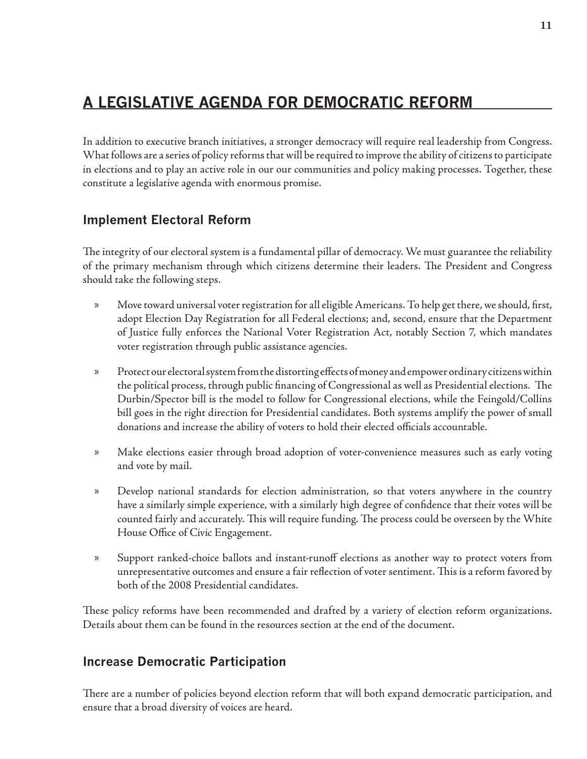# **A Legislative Agenda for Democratic Reform**

In addition to executive branch initiatives, a stronger democracy will require real leadership from Congress. What follows are a series of policy reforms that will be required to improve the ability of citizens to participate in elections and to play an active role in our our communities and policy making processes. Together, these constitute a legislative agenda with enormous promise.

### **Implement Electoral Reform**

The integrity of our electoral system is a fundamental pillar of democracy. We must guarantee the reliability of the primary mechanism through which citizens determine their leaders. The President and Congress should take the following steps.

- Move toward universal voter registration for all eligible Americans. To help get there, we should, first, adopt Election Day Registration for all Federal elections; and, second, ensure that the Department of Justice fully enforces the National Voter Registration Act, notably Section 7, which mandates voter registration through public assistance agencies. »
- Protect our electoral system from the distorting effects of money and empower ordinary citizens within the political process, through public financing of Congressional as well as Presidential elections. The Durbin/Spector bill is the model to follow for Congressional elections, while the Feingold/Collins bill goes in the right direction for Presidential candidates. Both systems amplify the power of small donations and increase the ability of voters to hold their elected officials accountable. »
- Make elections easier through broad adoption of voter-convenience measures such as early voting and vote by mail. »
- Develop national standards for election administration, so that voters anywhere in the country have a similarly simple experience, with a similarly high degree of confidence that their votes will be counted fairly and accurately. This will require funding. The process could be overseen by the White House Office of Civic Engagement. »
- Support ranked-choice ballots and instant-runoff elections as another way to protect voters from unrepresentative outcomes and ensure a fair reflection of voter sentiment. This is a reform favored by both of the 2008 Presidential candidates. »

These policy reforms have been recommended and drafted by a variety of election reform organizations. Details about them can be found in the resources section at the end of the document.

### **Increase Democratic Participation**

There are a number of policies beyond election reform that will both expand democratic participation, and ensure that a broad diversity of voices are heard.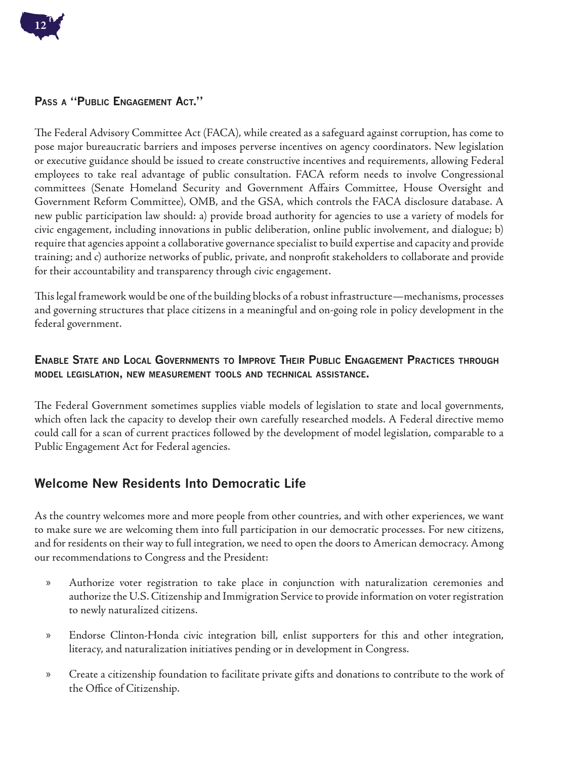

#### **Pass a "Public Engagement Act."**

The Federal Advisory Committee Act (FACA), while created as a safeguard against corruption, has come to pose major bureaucratic barriers and imposes perverse incentives on agency coordinators. New legislation or executive guidance should be issued to create constructive incentives and requirements, allowing Federal employees to take real advantage of public consultation. FACA reform needs to involve Congressional committees (Senate Homeland Security and Government Affairs Committee, House Oversight and Government Reform Committee), OMB, and the GSA, which controls the FACA disclosure database. A new public participation law should: a) provide broad authority for agencies to use a variety of models for civic engagement, including innovations in public deliberation, online public involvement, and dialogue; b) require that agencies appoint a collaborative governance specialist to build expertise and capacity and provide training; and c) authorize networks of public, private, and nonprofit stakeholders to collaborate and provide for their accountability and transparency through civic engagement.

This legal framework would be one of the building blocks of a robust infrastructure—mechanisms, processes and governing structures that place citizens in a meaningful and on-going role in policy development in the federal government.

#### **Enable State and Local Governments to Improve Their Public Engagement Practices through model legislation, new measurement tools and technical assistance.**

The Federal Government sometimes supplies viable models of legislation to state and local governments, which often lack the capacity to develop their own carefully researched models. A Federal directive memo could call for a scan of current practices followed by the development of model legislation, comparable to a Public Engagement Act for Federal agencies.

### **Welcome New Residents Into Democratic Life**

As the country welcomes more and more people from other countries, and with other experiences, we want to make sure we are welcoming them into full participation in our democratic processes. For new citizens, and for residents on their way to full integration, we need to open the doors to American democracy. Among our recommendations to Congress and the President:

- Authorize voter registration to take place in conjunction with naturalization ceremonies and authorize the U.S. Citizenship and Immigration Service to provide information on voter registration to newly naturalized citizens. »
- Endorse Clinton-Honda civic integration bill, enlist supporters for this and other integration, literacy, and naturalization initiatives pending or in development in Congress. »
- Create a citizenship foundation to facilitate private gifts and donations to contribute to the work of the Office of Citizenship. »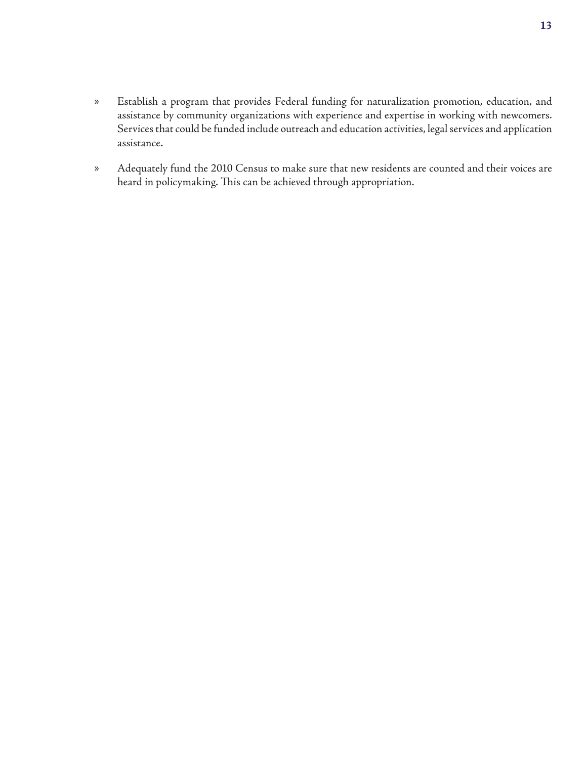- Establish a program that provides Federal funding for naturalization promotion, education, and assistance by community organizations with experience and expertise in working with newcomers. Services that could be funded include outreach and education activities, legal services and application assistance. »
- Adequately fund the 2010 Census to make sure that new residents are counted and their voices are heard in policymaking. This can be achieved through appropriation. »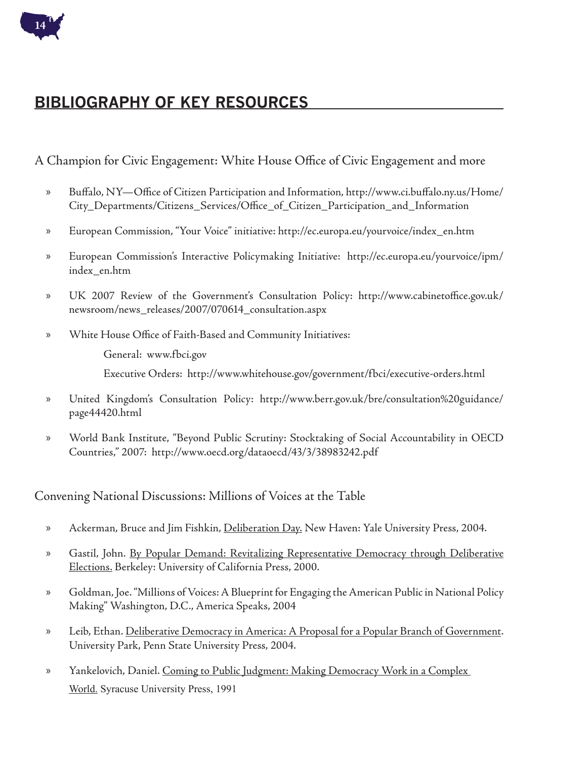

# **Bibliography of Key Resources**

A Champion for Civic Engagement: White House Office of Civic Engagement and more

- Buffalo, NY—Office of Citizen Participation and Information, http://www.ci.buffalo.ny.us/Home/ City\_Departments/Citizens\_Services/Office\_of\_Citizen\_Participation\_and\_Information »
- European Commission, "Your Voice" initiative: http://ec.europa.eu/yourvoice/index\_en.htm »
- European Commission's Interactive Policymaking Initiative: http://ec.europa.eu/yourvoice/ipm/ index\_en.htm »
- UK 2007 Review of the Government's Consultation Policy: http://www.cabinetoffice.gov.uk/ newsroom/news\_releases/2007/070614\_consultation.aspx »
- White House Office of Faith-Based and Community Initiatives: »
	- General: www.fbci.gov

Executive Orders: http://www.whitehouse.gov/government/fbci/executive-orders.html

- United Kingdom's Consultation Policy: http://www.berr.gov.uk/bre/consultation%20guidance/ page44420.html »
- World Bank Institute, "Beyond Public Scrutiny: Stocktaking of Social Accountability in OECD Countries," 2007: http://www.oecd.org/dataoecd/43/3/38983242.pdf »

#### Convening National Discussions: Millions of Voices at the Table

- Ackerman, Bruce and Jim Fishkin, Deliberation Day. New Haven: Yale University Press, 2004. »
- Gastil, John. By Popular Demand: Revitalizing Representative Democracy through Deliberative Elections. Berkeley: University of California Press, 2000. »
- Goldman, Joe. "Millions of Voices: A Blueprint for Engaging the American Public in National Policy Making" Washington, D.C., America Speaks, 2004 »
- Leib, Ethan. Deliberative Democracy in America: A Proposal for a Popular Branch of Government. University Park, Penn State University Press, 2004. »
- Yankelovich, Daniel. Coming to Public Judgment: Making Democracy Work in a Complex World. Syracuse University Press, 1991 »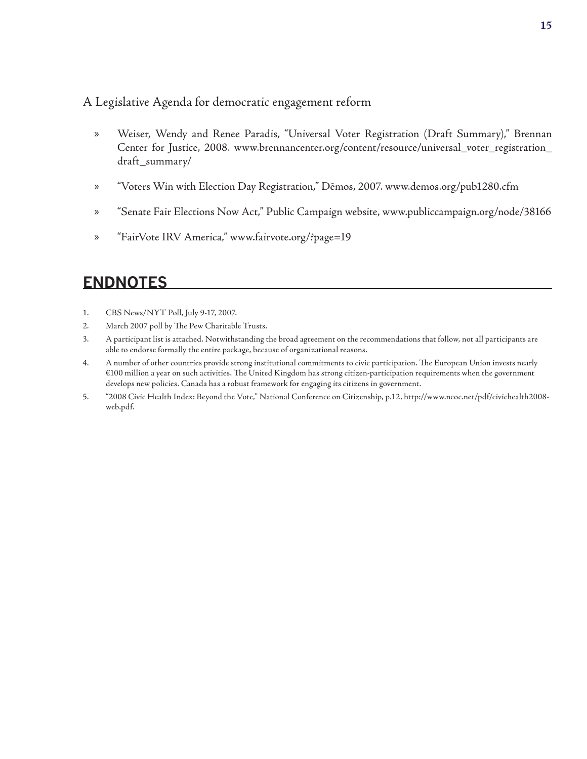#### A Legislative Agenda for democratic engagement reform

- Weiser, Wendy and Renee Paradis, "Universal Voter Registration (Draft Summary)," Brennan Center for Justice, 2008. www.brennancenter.org/content/resource/universal\_voter\_registration\_ draft\_summary/ »
- "Voters Win with Election Day Registration," Dēmos, 2007. www.demos.org/pub1280.cfm »
- "Senate Fair Elections Now Act," Public Campaign website, www.publiccampaign.org/node/38166 »
- "FairVote IRV America," www.fairvote.org/?page=19 »

# **Endnotes**

- CBS News/NYT Poll, July 9-17, 2007. 1.
- March 2007 poll by The Pew Charitable Trusts. 2.
- A participant list is attached. Notwithstanding the broad agreement on the recommendations that follow, not all participants are able to endorse formally the entire package, because of organizational reasons. 3.
- A number of other countries provide strong institutional commitments to civic participation. The European Union invests nearly €100 million a year on such activities. The United Kingdom has strong citizen-participation requirements when the government develops new policies. Canada has a robust framework for engaging its citizens in government. 4.
- "2008 Civic Health Index: Beyond the Vote," National Conference on Citizenship, p.12, http://www.ncoc.net/pdf/civichealth2008 web.pdf. 5.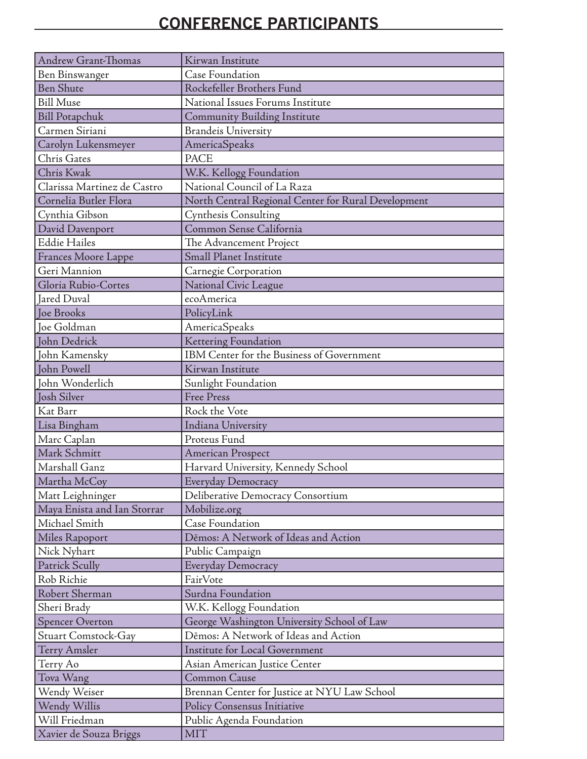# **Conference Participants**

| Andrew Grant-Thomas         | Kirwan Institute                                    |
|-----------------------------|-----------------------------------------------------|
| Ben Binswanger              | <b>Case Foundation</b>                              |
| <b>Ben Shute</b>            | Rockefeller Brothers Fund                           |
| <b>Bill Muse</b>            | National Issues Forums Institute                    |
| <b>Bill Potapchuk</b>       | <b>Community Building Institute</b>                 |
| Carmen Siriani              | <b>Brandeis University</b>                          |
| Carolyn Lukensmeyer         | AmericaSpeaks                                       |
| <b>Chris Gates</b>          | <b>PACE</b>                                         |
| Chris Kwak                  | W.K. Kellogg Foundation                             |
| Clarissa Martinez de Castro | National Council of La Raza                         |
| Cornelia Butler Flora       | North Central Regional Center for Rural Development |
| Cynthia Gibson              | <b>Cynthesis Consulting</b>                         |
| David Davenport             | Common Sense California                             |
| <b>Eddie Hailes</b>         | The Advancement Project                             |
| Frances Moore Lappe         | <b>Small Planet Institute</b>                       |
| Geri Mannion                | Carnegie Corporation                                |
| Gloria Rubio-Cortes         | National Civic League                               |
| <b>Jared Duval</b>          | ecoAmerica                                          |
| Joe Brooks                  | PolicyLink                                          |
| Joe Goldman                 | AmericaSpeaks                                       |
| John Dedrick                | Kettering Foundation                                |
| John Kamensky               | IBM Center for the Business of Government           |
| John Powell                 | Kirwan Institute                                    |
| John Wonderlich             | Sunlight Foundation                                 |
| <b>Josh Silver</b>          | <b>Free Press</b>                                   |
| Kat Barr                    | Rock the Vote                                       |
| Lisa Bingham                | Indiana University                                  |
| Marc Caplan                 | Proteus Fund                                        |
| Mark Schmitt                | American Prospect                                   |
| Marshall Ganz               | Harvard University, Kennedy School                  |
| Martha McCoy                | Everyday Democracy                                  |
| Matt Leighninger            | Deliberative Democracy Consortium                   |
| Maya Enista and Ian Storrar | Mobilize.org                                        |
| Michael Smith               | <b>Case Foundation</b>                              |
| Miles Rapoport              | Dēmos: A Network of Ideas and Action                |
| Nick Nyhart                 | Public Campaign                                     |
| Patrick Scully              | Everyday Democracy                                  |
| Rob Richie                  | FairVote                                            |
| Robert Sherman              | Surdna Foundation                                   |
| Sheri Brady                 | W.K. Kellogg Foundation                             |
| <b>Spencer Overton</b>      | George Washington University School of Law          |
| <b>Stuart Comstock-Gay</b>  | Dēmos: A Network of Ideas and Action                |
| <b>Terry Amsler</b>         | <b>Institute for Local Government</b>               |
| Terry Ao                    | Asian American Justice Center                       |
| Tova Wang                   | Common Cause                                        |
| Wendy Weiser                | Brennan Center for Justice at NYU Law School        |
| Wendy Willis                | Policy Consensus Initiative                         |
| Will Friedman               | Public Agenda Foundation                            |
| Xavier de Souza Briggs      | <b>MIT</b>                                          |